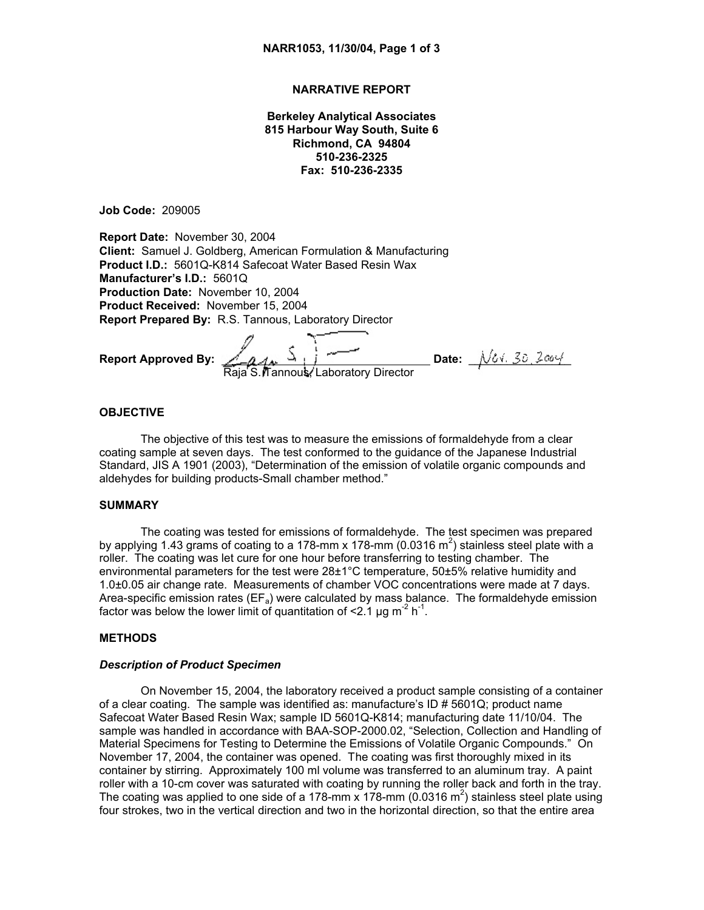## **NARRATIVE REPORT**

**Berkeley Analytical Associates 815 Harbour Way South, Suite 6 Richmond, CA 94804 510-236-2325 Fax: 510-236-2335**

**Job Code:** 209005

**Report Date:** November 30, 2004 **Client:** Samuel J. Goldberg, American Formulation & Manufacturing **Product I.D.:** 5601Q-K814 Safecoat Water Based Resin Wax **Manufacturer's I.D.:** 5601Q **Production Date:** November 10, 2004 **Product Received:** November 15, 2004 **Report Prepared By:** R.S. Tannous, Laboratory Director

**Report Approved By:** *Signature on file* **Date:** \_\_\_\_\_\_\_\_\_\_\_\_\_\_\_\_ Raja S. Tannous, Laboratory Director

## **OBJECTIVE**

The objective of this test was to measure the emissions of formaldehyde from a clear coating sample at seven days. The test conformed to the guidance of the Japanese Industrial Standard, JIS A 1901 (2003), "Determination of the emission of volatile organic compounds and aldehydes for building products-Small chamber method."

# **SUMMARY**

The coating was tested for emissions of formaldehyde. The test specimen was prepared by applying 1.43 grams of coating to a 178-mm x 178-mm (0.0316 m<sup>2</sup>) stainless steel plate with a roller. The coating was let cure for one hour before transferring to testing chamber. The environmental parameters for the test were 28±1°C temperature, 50±5% relative humidity and 1.0±0.05 air change rate. Measurements of chamber VOC concentrations were made at 7 days. Area-specific emission rates ( $E_{a}$ ) were calculated by mass balance. The formaldehyde emission factor was below the lower limit of quantitation of  $\leq 2.1 \,\mu g \, \text{m}^{-2} \, \text{h}^{-1}$ .

### **METHODS**

#### *Description of Product Specimen*

On November 15, 2004, the laboratory received a product sample consisting of a container of a clear coating. The sample was identified as: manufacture's  $ID \# 5601Q$ ; product name Safecoat Water Based Resin Wax; sample ID 5601Q-K814; manufacturing date 11/10/04. The sample was handled in accordance with BAA-SOP-2000.02, "Selection, Collection and Handling of Material Specimens for Testing to Determine the Emissions of Volatile Organic Compounds." On November 17, 2004, the container was opened. The coating was first thoroughly mixed in its container by stirring. Approximately 100 ml volume was transferred to an aluminum tray. A paint roller with a 10-cm cover was saturated with coating by running the roller back and forth in the tray. The coating was applied to one side of a 178-mm x 178-mm (0.0316 m<sup>2</sup>) stainless steel plate using four strokes, two in the vertical direction and two in the horizontal direction, so that the entire area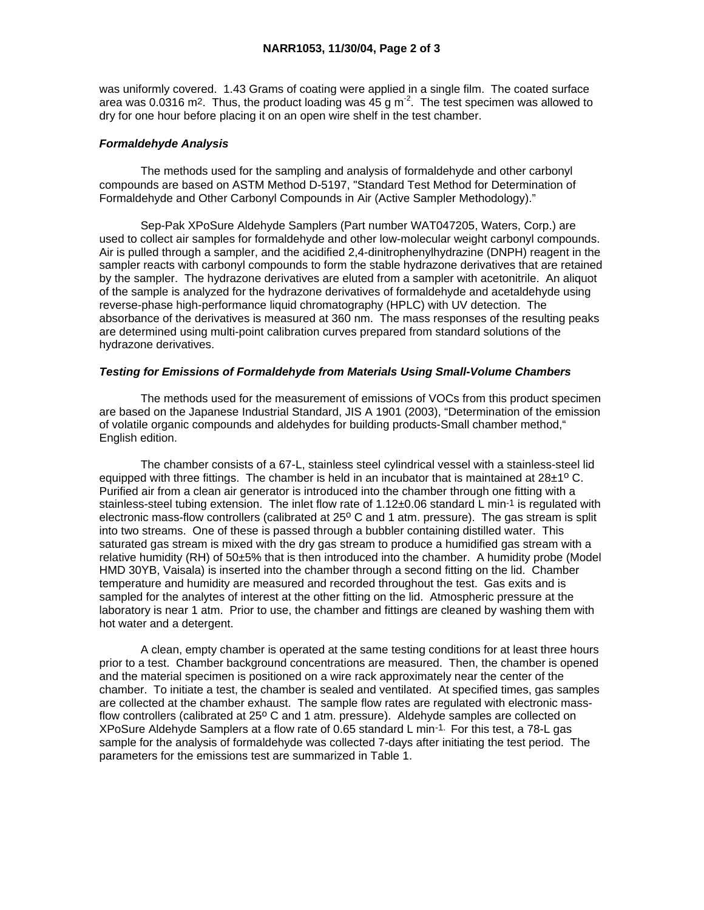was uniformly covered. 1.43 Grams of coating were applied in a single film. The coated surface area was 0.0316 m<sup>2</sup>. Thus, the product loading was  $45$  g m<sup>2</sup>. The test specimen was allowed to dry for one hour before placing it on an open wire shelf in the test chamber.

## *Formaldehyde Analysis*

 The methods used for the sampling and analysis of formaldehyde and other carbonyl compounds are based on ASTM Method D-5197, "Standard Test Method for Determination of Formaldehyde and Other Carbonyl Compounds in Air (Active Sampler Methodology)."

 Sep-Pak XPoSure Aldehyde Samplers (Part number WAT047205, Waters, Corp.) are used to collect air samples for formaldehyde and other low-molecular weight carbonyl compounds. Air is pulled through a sampler, and the acidified 2,4-dinitrophenylhydrazine (DNPH) reagent in the sampler reacts with carbonyl compounds to form the stable hydrazone derivatives that are retained by the sampler. The hydrazone derivatives are eluted from a sampler with acetonitrile. An aliquot of the sample is analyzed for the hydrazone derivatives of formaldehyde and acetaldehyde using reverse-phase high-performance liquid chromatography (HPLC) with UV detection. The absorbance of the derivatives is measured at 360 nm. The mass responses of the resulting peaks are determined using multi-point calibration curves prepared from standard solutions of the hydrazone derivatives.

### *Testing for Emissions of Formaldehyde from Materials Using Small-Volume Chambers*

 The methods used for the measurement of emissions of VOCs from this product specimen are based on the Japanese Industrial Standard, JIS A 1901 (2003), "Determination of the emission of volatile organic compounds and aldehydes for building products-Small chamber method," English edition.

 The chamber consists of a 67-L, stainless steel cylindrical vessel with a stainless-steel lid equipped with three fittings. The chamber is held in an incubator that is maintained at  $28\pm10$  C. Purified air from a clean air generator is introduced into the chamber through one fitting with a stainless-steel tubing extension. The inlet flow rate of  $1.12\pm0.06$  standard L min<sup>-1</sup> is regulated with electronic mass-flow controllers (calibrated at 25° C and 1 atm. pressure). The gas stream is split into two streams. One of these is passed through a bubbler containing distilled water. This saturated gas stream is mixed with the dry gas stream to produce a humidified gas stream with a relative humidity (RH) of 50±5% that is then introduced into the chamber. A humidity probe (Model HMD 30YB, Vaisala) is inserted into the chamber through a second fitting on the lid. Chamber temperature and humidity are measured and recorded throughout the test. Gas exits and is sampled for the analytes of interest at the other fitting on the lid. Atmospheric pressure at the laboratory is near 1 atm. Prior to use, the chamber and fittings are cleaned by washing them with hot water and a detergent.

 A clean, empty chamber is operated at the same testing conditions for at least three hours prior to a test. Chamber background concentrations are measured. Then, the chamber is opened and the material specimen is positioned on a wire rack approximately near the center of the chamber. To initiate a test, the chamber is sealed and ventilated. At specified times, gas samples are collected at the chamber exhaust. The sample flow rates are regulated with electronic massflow controllers (calibrated at  $25^{\circ}$  C and 1 atm. pressure). Aldehyde samples are collected on XPoSure Aldehyde Samplers at a flow rate of 0.65 standard L min-1. For this test, a 78-L gas sample for the analysis of formaldehyde was collected 7-days after initiating the test period. The parameters for the emissions test are summarized in Table 1.